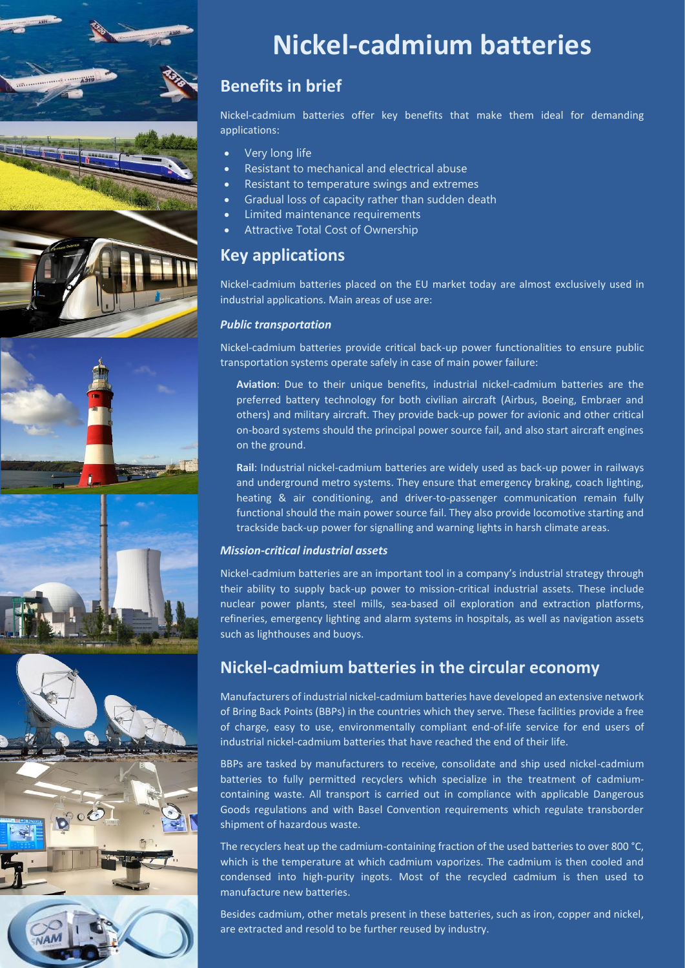







# **Nickel-cadmium batteries**

# **Benefits in brief**

Nickel-cadmium batteries offer key benefits that make them ideal for demanding applications:

- Very long life
- Resistant to mechanical and electrical abuse
- Resistant to temperature swings and extremes
- Gradual loss of capacity rather than sudden death
- Limited maintenance requirements
- Attractive Total Cost of Ownership

# **Key applications**

Nickel-cadmium batteries placed on the EU market today are almost exclusively used in industrial applications. Main areas of use are:

### *Public transportation*

Nickel-cadmium batteries provide critical back-up power functionalities to ensure public transportation systems operate safely in case of main power failure:

**Aviation**: Due to their unique benefits, industrial nickel-cadmium batteries are the preferred battery technology for both civilian aircraft (Airbus, Boeing, Embraer and others) and military aircraft. They provide back-up power for avionic and other critical on-board systems should the principal power source fail, and also start aircraft engines on the ground.

**Rail**: Industrial nickel-cadmium batteries are widely used as back-up power in railways and underground metro systems. They ensure that emergency braking, coach lighting, heating & air conditioning, and driver-to-passenger communication remain fully functional should the main power source fail. They also provide locomotive starting and trackside back-up power for signalling and warning lights in harsh climate areas.

### *Mission-critical industrial assets*

Nickel-cadmium batteries are an important tool in a company's industrial strategy through their ability to supply back-up power to mission-critical industrial assets. These include nuclear power plants, steel mills, sea-based oil exploration and extraction platforms, refineries, emergency lighting and alarm systems in hospitals, as well as navigation assets such as lighthouses and buoys.

### **Nickel-cadmium batteries in the circular economy**

Manufacturers of industrial nickel-cadmium batteries have developed an extensive network of Bring Back Points (BBPs) in the countries which they serve. These facilities provide a free of charge, easy to use, environmentally compliant end-of-life service for end users of industrial nickel-cadmium batteries that have reached the end of their life.

BBPs are tasked by manufacturers to receive, consolidate and ship used nickel-cadmium batteries to fully permitted recyclers which specialize in the treatment of cadmiumcontaining waste. All transport is carried out in compliance with applicable Dangerous Goods regulations and with Basel Convention requirements which regulate transborder shipment of hazardous waste.

The recyclers heat up the cadmium-containing fraction of the used batteries to over 800 °C, which is the temperature at which cadmium vaporizes. The cadmium is then cooled and condensed into high-purity ingots. Most of the recycled cadmium is then used to manufacture new batteries.

Besides cadmium, other metals present in these batteries, such as iron, copper and nickel, are extracted and resold to be further reused by industry.